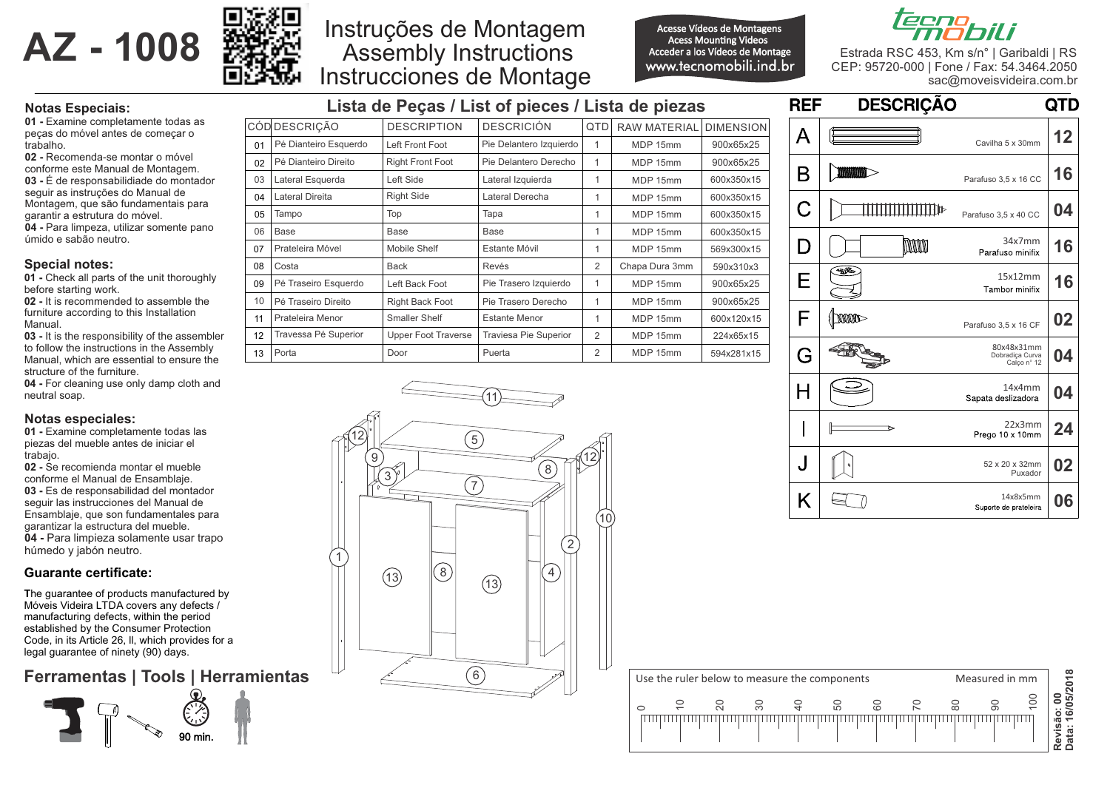



# Assembly Instructions Instruções de Montagem Instrucciones de Montage

Acesse Vídeos de Montagens www.tecnomobili.ind.br **Acess Mounting Videos** Acceder a los Vídeos de Montage



Estrada RSC 453, Km s/n° | Garibaldi | RS CEP: 95720-000 | Fone / Fax: 54.3464.2050 sac@moveisvideira.com.br

### **Notas Especiais:**

**01 -** Examine completamente todas as peças do móvel antes de começar o trabalho.

**02 -** Recomenda-se montar o móvel conforme este Manual de Montagem. **03 -** É de responsabilidiade do montador seguir as instruções do Manual de Montagem, que são fundamentais para garantir a estrutura do móvel. **04 -** Para limpeza, utilizar somente pano úmido e sabão neutro.

#### **Special notes:**

**01 -** Check all parts of the unit thoroughly before starting work.

**02 -** It is recommended to assemble the furniture according to this Installation Manual.

**03 -** It is the responsibility of the assembler to follow the instructions in the Assembly Manual, which are essential to ensure the structure of the furniture.

**04 -** For cleaning use only damp cloth and neutral soap.

#### **Notas especiales:**

**01 -** Examine completamente todas las piezas del mueble antes de iniciar el trabajo.

**02 -** Se recomienda montar el mueble conforme el Manual de Ensamblaje. **03 -** Es de responsabilidad del montador seguir las instrucciones del Manual de Ensamblaje, que son fundamentales para garantizar la estructura del mueble. **04 -** Para limpieza solamente usar trapo húmedo y jabón neutro.

#### **Guarante certificate:**

**T**he guarantee of products manufactured by Móveis Videira LTDA covers any defects / manufacturing defects, within the period established by the Consumer Protection Code, in its Article 26, ll, which provides for a legal guarantee of ninety (90) days.

## **Ferramentas | Tools | Herramientas**



| Lista de Peças / List of pieces / Lista de piezas |                        |                            |                              |                |                     |                  |  |
|---------------------------------------------------|------------------------|----------------------------|------------------------------|----------------|---------------------|------------------|--|
|                                                   | CÓD DESCRICÃO          | <b>DESCRIPTION</b>         | <b>DESCRICIÓN</b>            | QTD            | <b>RAW MATERIAL</b> | <b>DIMENSION</b> |  |
| 01                                                | Pé Dianteiro Esquerdo  | Left Front Foot            | Pie Delantero Izquierdo      | 1              | MDP 15mm            | 900x65x25        |  |
| 02                                                | Pé Dianteiro Direito   | <b>Right Front Foot</b>    | Pie Delantero Derecho        | 1              | MDP 15mm            | 900x65x25        |  |
| 03                                                | Lateral Esquerda       | Left Side                  | Lateral Izquierda            | 1              | MDP 15mm            | 600x350x15       |  |
| 04                                                | <b>Lateral Direita</b> | <b>Right Side</b>          | Lateral Derecha              | 1              | MDP 15mm            | 600x350x15       |  |
| 05                                                | Tampo                  | Top                        | Tapa                         | 1              | MDP 15mm            | 600x350x15       |  |
| 06                                                | <b>Base</b>            | Base                       | Base                         | 1              | MDP 15mm            | 600x350x15       |  |
| 07                                                | Prateleira Móvel       | Mobile Shelf               | Estante Móvil                | 1              | MDP 15mm            | 569x300x15       |  |
| 08                                                | Costa                  | Back                       | Revés                        | $\overline{2}$ | Chapa Dura 3mm      | 590x310x3        |  |
| 09                                                | Pé Traseiro Esquerdo   | Left Back Foot             | Pie Trasero Izquierdo        | 1              | MDP 15mm            | 900x65x25        |  |
| 10                                                | Pé Traseiro Direito    | Right Back Foot            | Pie Trasero Derecho          | 1              | MDP 15mm            | 900x65x25        |  |
| 11                                                | Prateleira Menor       | Smaller Shelf              | <b>Estante Menor</b>         | 1              | MDP 15mm            | 600x120x15       |  |
| 12                                                | Travessa Pé Superior   | <b>Upper Foot Traverse</b> | <b>Traviesa Pie Superior</b> | $\overline{2}$ | MDP 15mm            | 224x65x15        |  |
| 13                                                | Porta                  | Door                       | Puerta                       | $\overline{2}$ | MDP 15mm            | 594x281x15       |  |

| <b>REF</b> | <b>DESCRIÇÃO</b>       |                                              | <b>QTD</b> |
|------------|------------------------|----------------------------------------------|------------|
| А          | Cavilha 5 x 30mm       |                                              | 12         |
| B          | <b>MANAGER</b>         | Parafuso 3,5 x 16 CC                         | 16         |
| С          |                        | Parafuso 3,5 x 40 CC                         | 04         |
| D          | MANAMA                 | 34x7mm<br>Parafuso minifix                   | 16         |
| Е          | 一起                     | 15x12mm<br>Tambor minifix                    | 16         |
| F          | $\mathbb{M}\mathbb{M}$ | Parafuso 3,5 x 16 CF                         | 02         |
| G          |                        | 80x48x31mm<br>Dobradica Curva<br>Calço nº 12 | 04         |
| H          |                        | 14x4mm<br>Sapata deslizadora                 | 04         |
| I          |                        | 22x3mm<br>Prego 10 x 10mm                    | 24         |
| J          |                        | 52 x 20 x 32mm<br>Puxador                    | 02         |
| Κ          |                        | 14x8x5mm<br>Suporte de prateleira            | 06         |



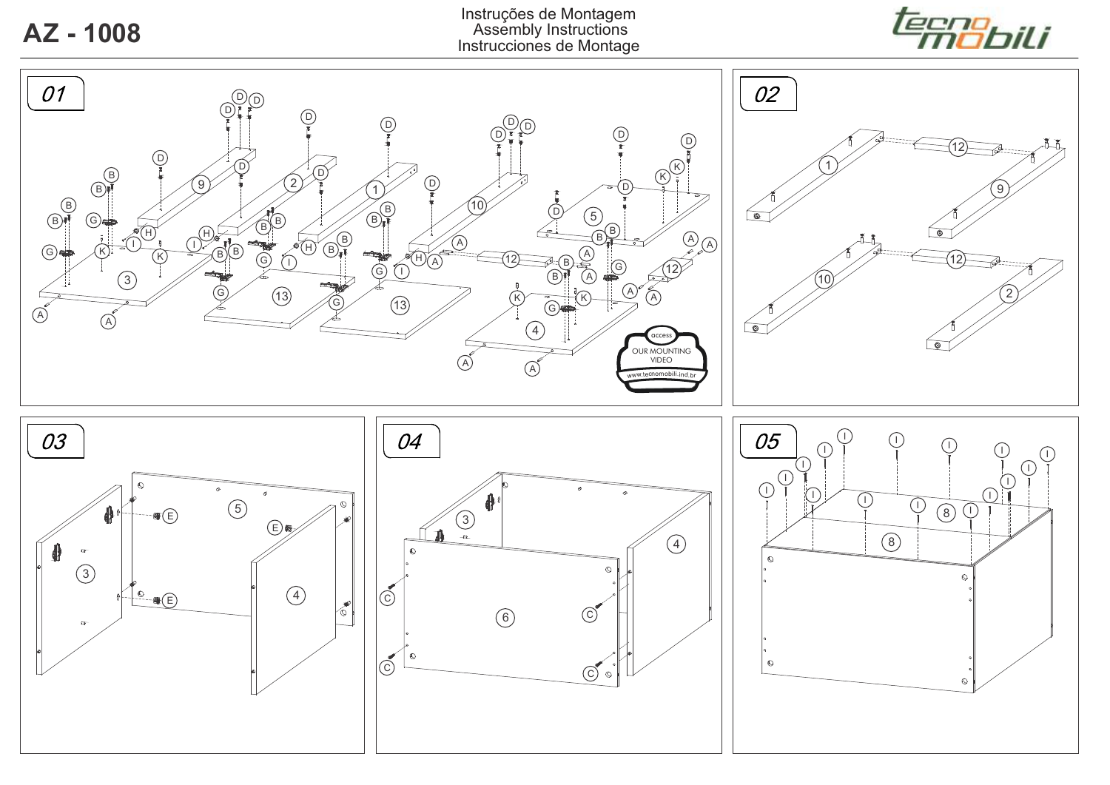

**Z** - 1008 Assembly Instructions<br>Assembly Instructions de Montac Instruções de Montagem Instrucciones de Montage